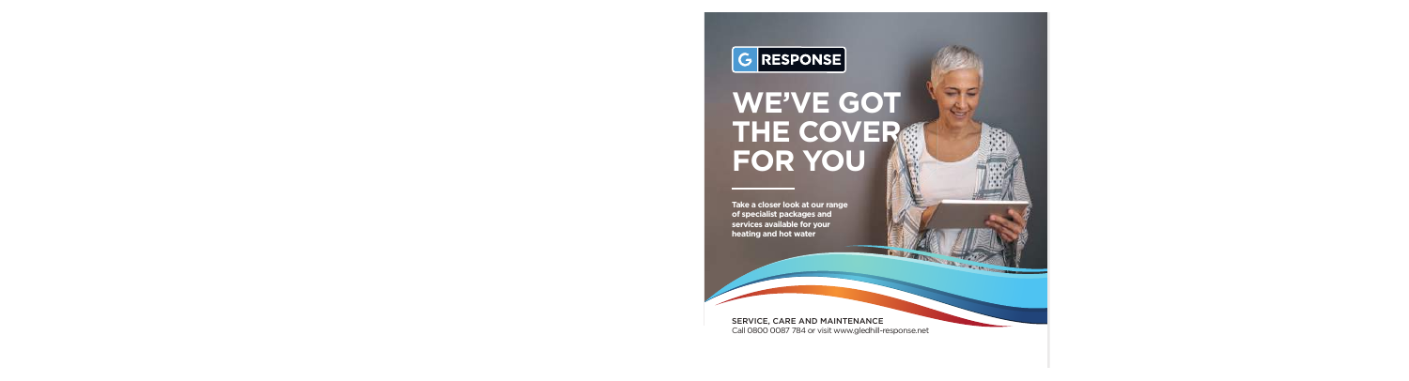

# **WE'VE GOT THE COVER FOR YOU**

**Take a closer look at our range of specialist packages and services available for your heating and hot water**

#### SERVICE, CARE AND MAINTENANCE

Call 0800 0087 784 or visit www.gledhill-response.net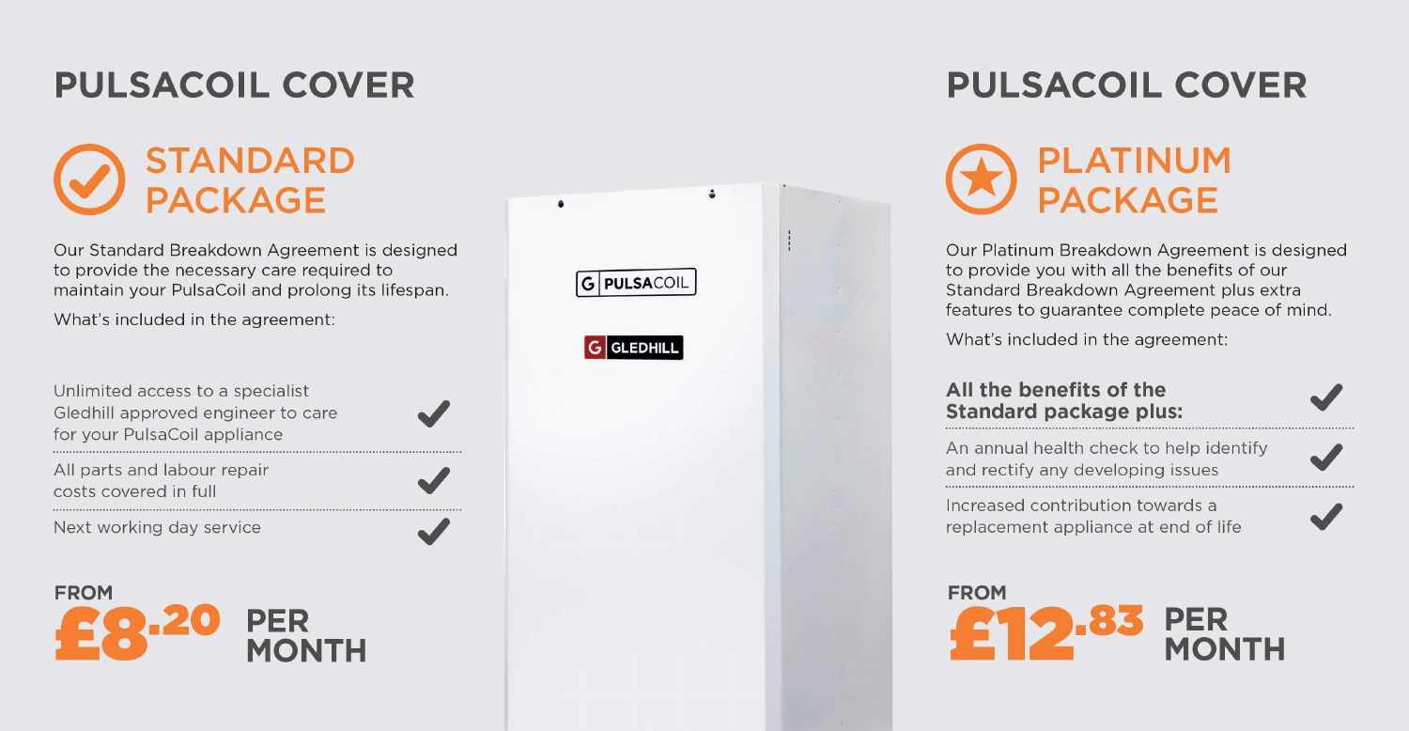## **PULSACOIL COVER**

## **STANDARD PACKAGE**

Our Standard Breakdown Agreement is designed to provide the necessary care required to maintain your PulsaCoil and prolong its lifespan.

What's included in the agreement:

Unlimited access to a specialist Gledhill approved engineer to care for your PulsaCoil appliance

All parts and labour repair costs covered in full

Next working day service

**FROM PER MONTH** 



## **PULSACOIL COVER**



Our Platinum Breakdown Agreement is designed to provide you with all the benefits of our Standard Breakdown Agreement plus extra features to guarantee complete peace of mind.

What's included in the agreement:

#### All the benefits of the **Standard package plus:**

An annual health check to help identify and rectify any developing issues

Increased contribution towards a replacement appliance at end of life

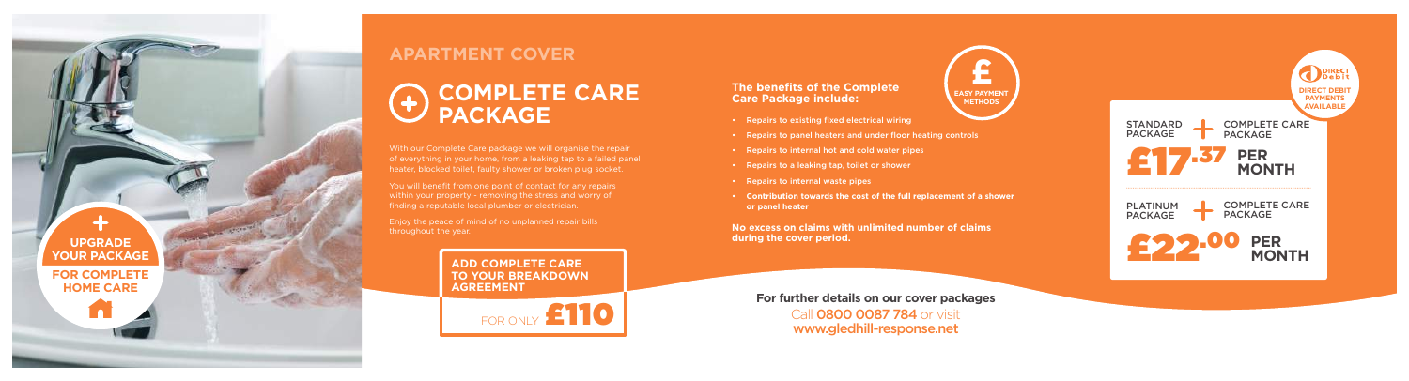### **APARTMENT COVER**

With our Complete Care package we will organise the repair of everything in your home, from a leaking tap to a failed panel heater, blocked toilet, faulty shower or broken plug socket.

You will benefit from one point of contact for any repairs within your property - removing the stress and worry of finding a reputable local plumber or electrician.

Enjoy the peace of mind of no unplanned repair bills throughout the year.

# **COMPLETE CARE PACKAGE**

#### **The benefits of the Complete Care Package include:**

**For further details on our cover packages** Call **0800 0087 784** or visit www.gledhill-response.net

- Repairs to existing fixed electrical wiring
- Repairs to panel heaters and under floor heating controls
- Repairs to internal hot and cold water pipes
- Repairs to a leaking tap, toilet or shower
- Repairs to internal waste pipes
- **Contribution towards the cost of the full replacement of a shower or panel heater**

**No excess on claims with unlimited number of claims during the cover period.**



**ADD COMPLETE CARE TO YOUR BREAKDOWN AGREEMENT**



**FOR COMPLETE HOME CARE**

**UPGRADE YOUR PACKAGE**